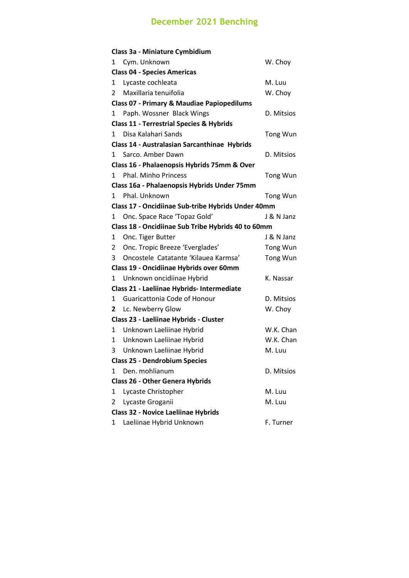## **December 2021 Benching**

|                                            | Class 3a - Miniature Cymbidium                        |                 |  |  |  |
|--------------------------------------------|-------------------------------------------------------|-----------------|--|--|--|
| 1                                          | Cym. Unknown                                          | W. Choy         |  |  |  |
|                                            | <b>Class 04 - Species Americas</b>                    |                 |  |  |  |
| 1                                          | Lycaste cochleata                                     | M. Luu          |  |  |  |
| 2                                          | Maxillaria tenuifolia                                 | W. Choy         |  |  |  |
|                                            | <b>Class 07 - Primary &amp; Maudiae Papiopedilums</b> |                 |  |  |  |
| 1                                          | Paph. Wossner Black Wings                             | D. Mitsios      |  |  |  |
|                                            | <b>Class 11 - Terrestrial Species &amp; Hybrids</b>   |                 |  |  |  |
| 1                                          | Disa Kalahari Sands                                   | <b>Tong Wun</b> |  |  |  |
|                                            | Class 14 - Australasian Sarcanthinae Hybrids          |                 |  |  |  |
| 1                                          | Sarco, Amber Dawn                                     | D. Mitsios      |  |  |  |
|                                            | Class 16 - Phalaenopsis Hybrids 75mm & Over           |                 |  |  |  |
| 1.                                         | Phal. Minho Princess                                  | <b>Tong Wun</b> |  |  |  |
|                                            | Class 16a - Phalaenopsis Hybrids Under 75mm           |                 |  |  |  |
| 1                                          | Phal. Unknown                                         | <b>Tong Wun</b> |  |  |  |
|                                            | Class 17 - Oncidiinae Sub-tribe Hybrids Under 40mm    |                 |  |  |  |
| 1                                          | Onc. Space Race 'Topaz Gold'                          | J & N Janz      |  |  |  |
|                                            | Class 18 - Oncidiinae Sub Tribe Hybrids 40 to 60mm    |                 |  |  |  |
| 1                                          | Onc. Tiger Butter                                     | J & N Janz      |  |  |  |
| 2                                          | Onc. Tropic Breeze 'Everglades'                       | <b>Tong Wun</b> |  |  |  |
| 3                                          | Oncostele Catatante 'Kilauea Karmsa'                  | <b>Tong Wun</b> |  |  |  |
|                                            | Class 19 - Oncidiinae Hybrids over 60mm               |                 |  |  |  |
| 1                                          | Unknown oncidiinae Hybrid                             | K. Nassar       |  |  |  |
| Class 21 - Laeliinae Hybrids- Intermediate |                                                       |                 |  |  |  |
| 1                                          | Guaricattonia Code of Honour                          | D. Mitsios      |  |  |  |
| 2                                          | Lc. Newberry Glow                                     | W. Choy         |  |  |  |
| Class 23 - Laeliinae Hybrids - Cluster     |                                                       |                 |  |  |  |
| 1                                          | Unknown Laeliinae Hybrid                              | W.K. Chan       |  |  |  |
| 1                                          | Unknown Laeliinae Hybrid                              | W.K. Chan       |  |  |  |
| 3                                          | Unknown Laeliinae Hybrid                              | M. Luu          |  |  |  |
|                                            | <b>Class 25 - Dendrobium Species</b>                  |                 |  |  |  |
| 1                                          | Den. mohlianum                                        | D. Mitsios      |  |  |  |
|                                            | <b>Class 26 - Other Genera Hybrids</b>                |                 |  |  |  |
| 1                                          | Lycaste Christopher                                   | M. Luu          |  |  |  |
| 2                                          | Lycaste Groganii                                      | M. Luu          |  |  |  |
| <b>Class 32 - Novice Laeliinae Hybrids</b> |                                                       |                 |  |  |  |
| 1                                          | Laeliinae Hybrid Unknown                              | F. Turner       |  |  |  |